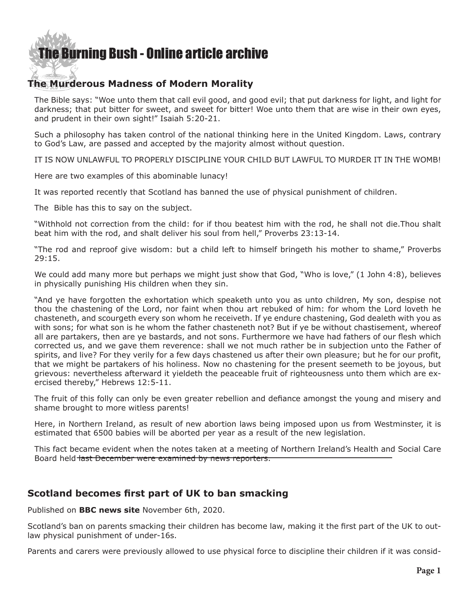### [The Burning Bush - Online article archive](http://www.ivanfoster.net)

### **The Murderous Madness of Modern Morality**

The Bible says: "Woe unto them that call evil good, and good evil; that put darkness for light, and light for darkness; that put bitter for sweet, and sweet for bitter! Woe unto them that are wise in their own eyes, and prudent in their own sight!" Isaiah 5:20-21.

Such a philosophy has taken control of the national thinking here in the United Kingdom. Laws, contrary to God's Law, are passed and accepted by the majority almost without question.

IT IS NOW UNLAWFUL TO PROPERLY DISCIPLINE YOUR CHILD BUT LAWFUL TO MURDER IT IN THE WOMB!

Here are two examples of this abominable lunacy!

It was reported recently that Scotland has banned the use of physical punishment of children.

The Bible has this to say on the subject.

"Withhold not correction from the child: for if thou beatest him with the rod, he shall not die.Thou shalt beat him with the rod, and shalt deliver his soul from hell," Proverbs 23:13-14.

"The rod and reproof give wisdom: but a child left to himself bringeth his mother to shame," Proverbs 29:15.

We could add many more but perhaps we might just show that God, "Who is love," (1 John 4:8), believes in physically punishing His children when they sin.

"And ye have forgotten the exhortation which speaketh unto you as unto children, My son, despise not thou the chastening of the Lord, nor faint when thou art rebuked of him: for whom the Lord loveth he chasteneth, and scourgeth every son whom he receiveth. If ye endure chastening, God dealeth with you as with sons; for what son is he whom the father chasteneth not? But if ye be without chastisement, whereof all are partakers, then are ye bastards, and not sons. Furthermore we have had fathers of our flesh which corrected us, and we gave them reverence: shall we not much rather be in subjection unto the Father of spirits, and live? For they verily for a few days chastened us after their own pleasure; but he for our profit, that we might be partakers of his holiness. Now no chastening for the present seemeth to be joyous, but grievous: nevertheless afterward it yieldeth the peaceable fruit of righteousness unto them which are exercised thereby," Hebrews 12:5-11.

The fruit of this folly can only be even greater rebellion and defiance amongst the young and misery and shame brought to more witless parents!

Here, in Northern Ireland, as result of new abortion laws being imposed upon us from Westminster, it is estimated that 6500 babies will be aborted per year as a result of the new legislation.

This fact became evident when the notes taken at a meeting of Northern Ireland's Health and Social Care Board held last December were examined by news reporters.

#### **Scotland becomes first part of UK to ban smacking**

Published on **[BBC news site](https://www.bbc.co.uk/news/uk-scotland-54825151)** November 6th, 2020.

Scotland's ban on parents smacking their children has become law, making it the first part of the UK to outlaw physical punishment of under-16s.

Parents and carers were previously allowed to use physical force to discipline their children if it was consid-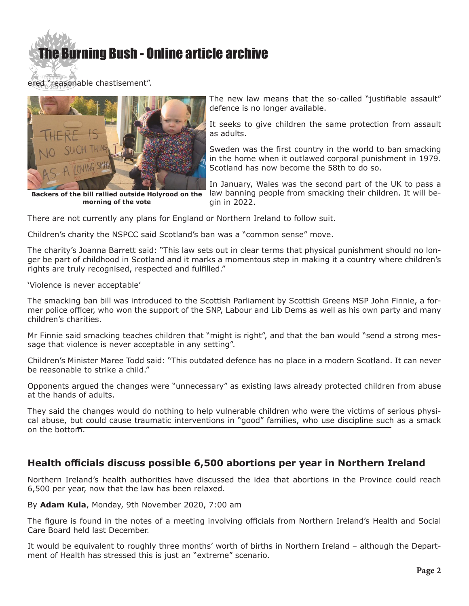## **e Burning Bush - Online article archive**

ered "reasonable chastisement".



**Backers of the bill rallied outside Holyrood on the morning of the vote**

The new law means that the so-called "justifiable assault" defence is no longer available.

It seeks to give children the same protection from assault as adults.

Sweden was the first country in the world to ban smacking in the home when it outlawed corporal punishment in 1979. Scotland has now become the 58th to do so.

In January, Wales was the second part of the UK to pass a law banning people from smacking their children. It will begin in 2022.

There are not currently any plans for England or Northern Ireland to follow suit.

Children's charity the NSPCC said Scotland's ban was a "common sense" move.

The charity's Joanna Barrett said: "This law sets out in clear terms that physical punishment should no longer be part of childhood in Scotland and it marks a momentous step in making it a country where children's rights are truly recognised, respected and fulfilled."

'Violence is never acceptable'

The smacking ban bill was introduced to the Scottish Parliament by Scottish Greens MSP John Finnie, a former police officer, who won the support of the SNP, Labour and Lib Dems as well as his own party and many children's charities.

Mr Finnie said smacking teaches children that "might is right", and that the ban would "send a strong message that violence is never acceptable in any setting".

Children's Minister Maree Todd said: "This outdated defence has no place in a modern Scotland. It can never be reasonable to strike a child."

Opponents argued the changes were "unnecessary" as existing laws already protected children from abuse at the hands of adults.

They said the changes would do nothing to help vulnerable children who were the victims of serious physical abuse, but could cause traumatic interventions in "good" families, who use discipline such as a smack on the bottom.

#### **Health officials discuss possible 6,500 abortions per year in Northern Ireland**

Northern Ireland's health authorities have discussed the idea that abortions in the Province could reach 6,500 per year, now that the law has been relaxed.

By **[Adam Kula]((https://www.newsletter.co.uk/news/politics/health-officials-discuss-possible-6500-abortions-year-northern-ireland-3029084)**, Monday, 9th November 2020, 7:00 am

The figure is found in the notes of a meeting involving officials from Northern Ireland's Health and Social Care Board held last December.

It would be equivalent to roughly three months' worth of births in Northern Ireland – although the Department of Health has stressed this is just an "extreme" scenario.